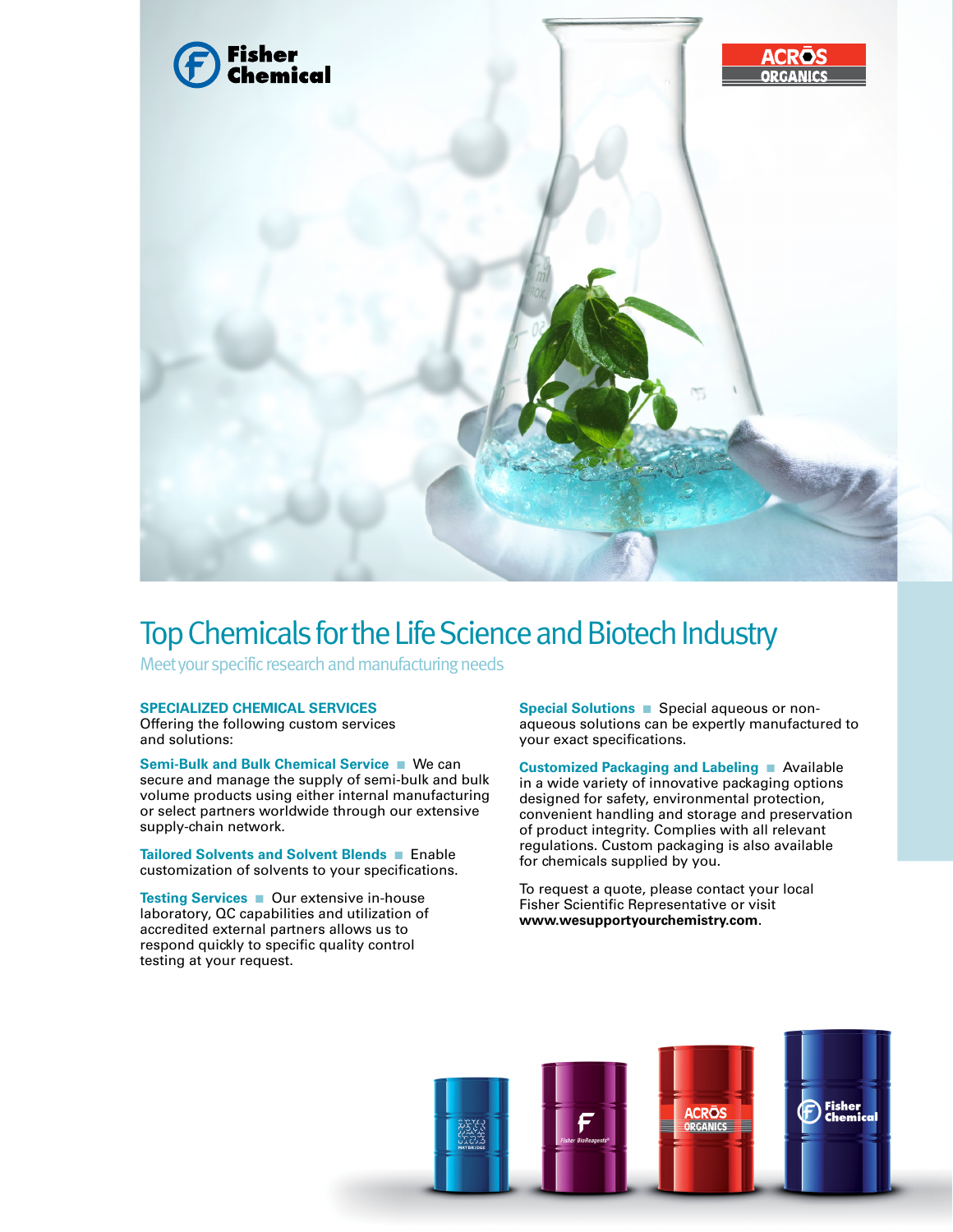

## Top Chemicals for the Life Science and Biotech Industry

Meet your specific research and manufacturing needs

## **SPECIALIZED CHEMICAL SERVICES**

Offering the following custom services and solutions:

**Semi-Bulk and Bulk Chemical Service ■ We can** secure and manage the supply of semi-bulk and bulk volume products using either internal manufacturing or select partners worldwide through our extensive supply-chain network.

**Tailored Solvents and Solvent Blends** nEnable customization of solvents to your specifications.

**Testing Services** ■ Our extensive in-house laboratory, QC capabilities and utilization of accredited external partners allows us to respond quickly to specific quality control testing at your request.

**Special Solutions** nSpecial aqueous or nonaqueous solutions can be expertly manufactured to your exact specifications.

**Customized Packaging and Labeling** nAvailable in a wide variety of innovative packaging options designed for safety, environmental protection, convenient handling and storage and preservation of product integrity. Complies with all relevant regulations. Custom packaging is also available for chemicals supplied by you.

To request a quote, please contact your local Fisher Scientific Representative or visit **www.wesupportyourchemistry.com**.